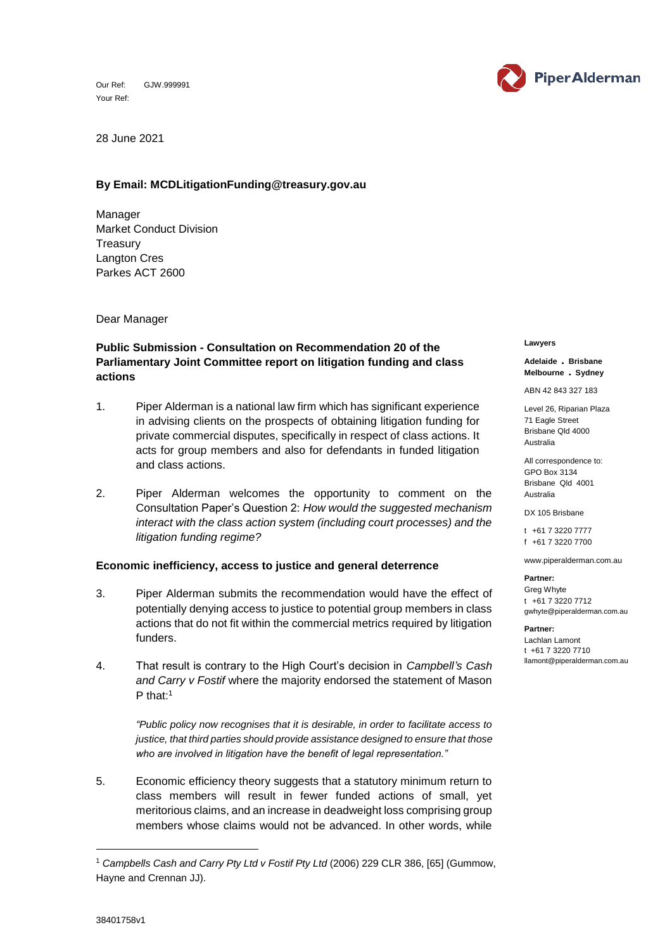Our Ref: GJW.999991 Your Ref:



28 June 2021

## **By Email: MCDLitigationFunding@treasury.gov.au**

Manager Market Conduct Division **Treasury** Langton Cres Parkes ACT 2600

Dear Manager

# **Public Submission - Consultation on Recommendation 20 of the Parliamentary Joint Committee report on litigation funding and class actions**

- 1. Piper Alderman is a national law firm which has significant experience in advising clients on the prospects of obtaining litigation funding for private commercial disputes, specifically in respect of class actions. It acts for group members and also for defendants in funded litigation and class actions.
- 2. Piper Alderman welcomes the opportunity to comment on the Consultation Paper's Question 2: *How would the suggested mechanism interact with the class action system (including court processes) and the litigation funding regime?*

## **Economic inefficiency, access to justice and general deterrence**

- 3. Piper Alderman submits the recommendation would have the effect of potentially denying access to justice to potential group members in class actions that do not fit within the commercial metrics required by litigation funders.
- 4. That result is contrary to the High Court's decision in *Campbell's Cash and Carry v Fostif* where the majority endorsed the statement of Mason P that:<sup>1</sup>

*"Public policy now recognises that it is desirable, in order to facilitate access to justice, that third parties should provide assistance designed to ensure that those who are involved in litigation have the benefit of legal representation."*

5. Economic efficiency theory suggests that a statutory minimum return to class members will result in fewer funded actions of small, yet meritorious claims, and an increase in deadweight loss comprising group members whose claims would not be advanced. In other words, while

#### **Lawyers**

### **Adelaide** . **Brisbane Melbourne** . **Sydney**

ABN 42 843 327 183

Level 26, Riparian Plaza 71 Eagle Street Brisbane Qld 4000 Australia

All correspondence to: GPO Box 3134 Brisbane Qld 4001 Australia

DX 105 Brisbane

t +61 7 3220 7777 f +61 7 3220 7700

www.piperalderman.com.au

**Partner:** Greg Whyte t +61 7 3220 7712 gwhyte@piperalderman.com.au

### **Partner:**

Lachlan Lamont t +61 7 3220 7710 llamont@piperalderman.com.au

-

<sup>1</sup> *Campbells Cash and Carry Pty Ltd v Fostif Pty Ltd* (2006) 229 CLR 386, [65] (Gummow, Hayne and Crennan JJ).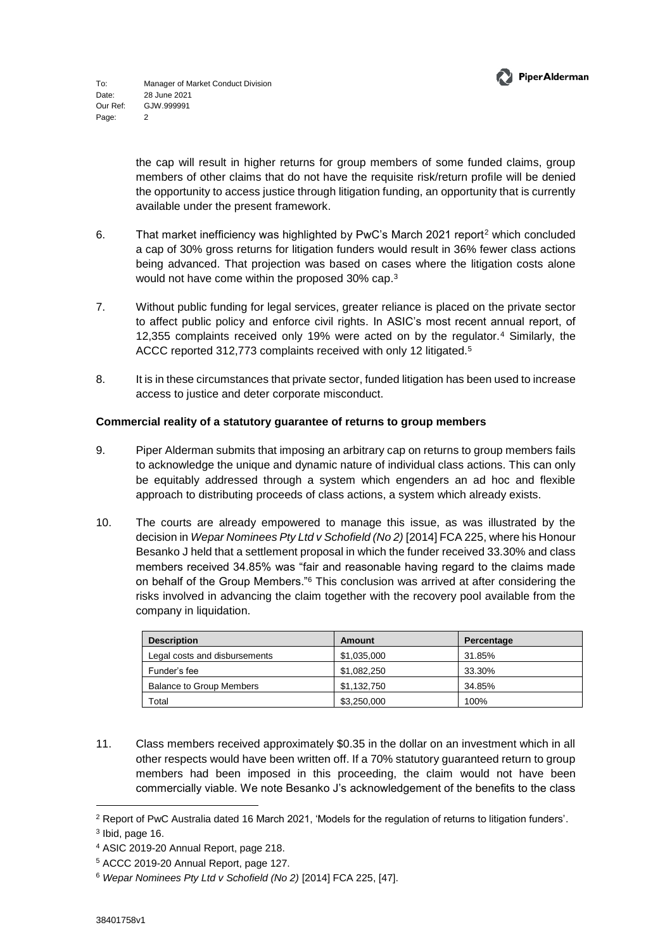

the cap will result in higher returns for group members of some funded claims, group members of other claims that do not have the requisite risk/return profile will be denied the opportunity to access justice through litigation funding, an opportunity that is currently available under the present framework.

- 6. That market inefficiency was highlighted by PwC's March 2021 report<sup>2</sup> which concluded a cap of 30% gross returns for litigation funders would result in 36% fewer class actions being advanced. That projection was based on cases where the litigation costs alone would not have come within the proposed 30% cap. 3
- 7. Without public funding for legal services, greater reliance is placed on the private sector to affect public policy and enforce civil rights. In ASIC's most recent annual report, of 12,355 complaints received only 19% were acted on by the regulator.<sup>4</sup> Similarly, the ACCC reported 312,773 complaints received with only 12 litigated.<sup>5</sup>
- 8. It is in these circumstances that private sector, funded litigation has been used to increase access to justice and deter corporate misconduct.

# **Commercial reality of a statutory guarantee of returns to group members**

- 9. Piper Alderman submits that imposing an arbitrary cap on returns to group members fails to acknowledge the unique and dynamic nature of individual class actions. This can only be equitably addressed through a system which engenders an ad hoc and flexible approach to distributing proceeds of class actions, a system which already exists.
- 10. The courts are already empowered to manage this issue, as was illustrated by the decision in *Wepar Nominees Pty Ltd v Schofield (No 2)* [2014] FCA 225, where his Honour Besanko J held that a settlement proposal in which the funder received 33.30% and class members received 34.85% was "fair and reasonable having regard to the claims made on behalf of the Group Members."<sup>6</sup> This conclusion was arrived at after considering the risks involved in advancing the claim together with the recovery pool available from the company in liquidation.

| <b>Description</b>              | Amount      | Percentage |
|---------------------------------|-------------|------------|
| Legal costs and disbursements   | \$1,035,000 | 31.85%     |
| Funder's fee                    | \$1,082,250 | 33.30%     |
| <b>Balance to Group Members</b> | \$1,132,750 | 34.85%     |
| Total                           | \$3,250,000 | 100%       |

11. Class members received approximately \$0.35 in the dollar on an investment which in all other respects would have been written off. If a 70% statutory guaranteed return to group members had been imposed in this proceeding, the claim would not have been commercially viable. We note Besanko J's acknowledgement of the benefits to the class

-

<sup>2</sup> Report of PwC Australia dated 16 March 2021, 'Models for the regulation of returns to litigation funders'.

 $3$  lbid, page 16.

<sup>4</sup> ASIC 2019-20 Annual Report, page 218.

<sup>5</sup> ACCC 2019-20 Annual Report, page 127.

<sup>6</sup> *Wepar Nominees Pty Ltd v Schofield (No 2)* [2014] FCA 225, [47].